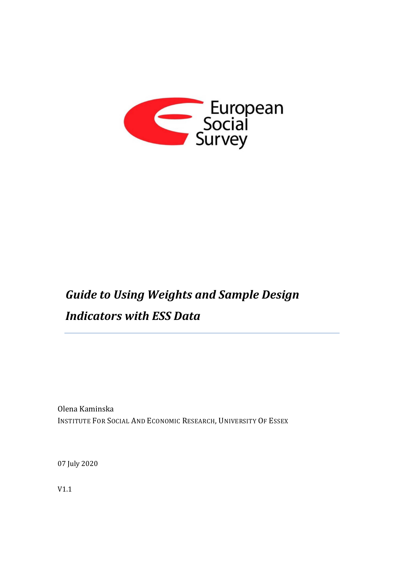

# *Guide to Using Weights and Sample Design Indicators with ESS Data*

Olena Kaminska INSTITUTE FOR SOCIAL AND ECONOMIC RESEARCH, UNIVERSITY OF ESSEX

07 July 2020

V1.1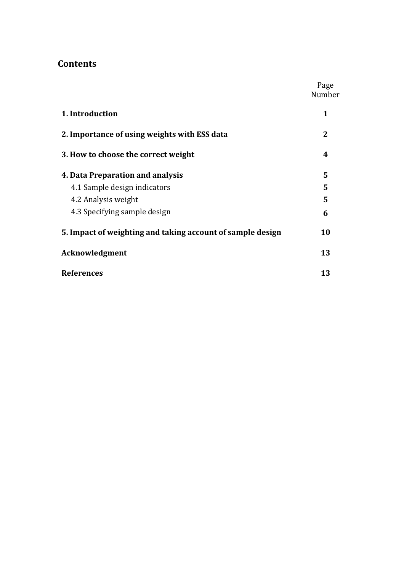# **Contents**

|                                                            | Page<br>Number |
|------------------------------------------------------------|----------------|
| 1. Introduction                                            | 1              |
| 2. Importance of using weights with ESS data               | 2              |
| 3. How to choose the correct weight                        | 4              |
| 4. Data Preparation and analysis                           | 5              |
| 4.1 Sample design indicators                               | 5              |
| 4.2 Analysis weight                                        | 5              |
| 4.3 Specifying sample design                               | 6              |
| 5. Impact of weighting and taking account of sample design | 10             |
| Acknowledgment                                             | 13             |
| <b>References</b>                                          | 13             |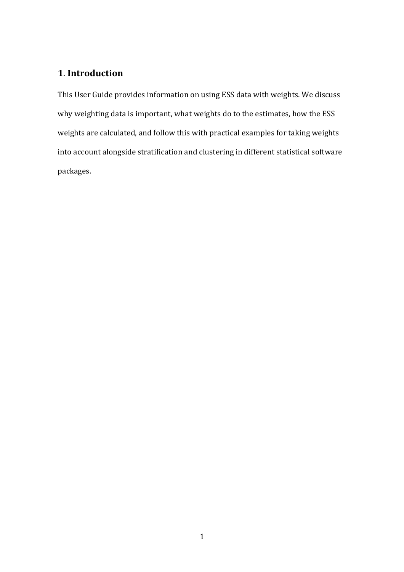# **1**. **Introduction**

This User Guide provides information on using ESS data with weights. We discuss why weighting data is important, what weights do to the estimates, how the ESS weights are calculated, and follow this with practical examples for taking weights into account alongside stratification and clustering in different statistical software packages.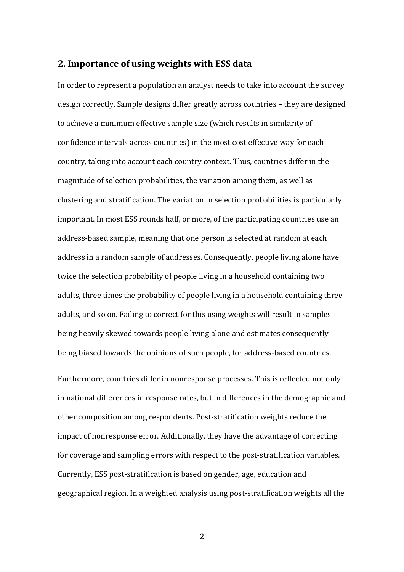### **2. Importance of using weights with ESS data**

In order to represent a population an analyst needs to take into account the survey design correctly. Sample designs differ greatly across countries – they are designed to achieve a minimum effective sample size (which results in similarity of confidence intervals across countries) in the most cost effective way for each country, taking into account each country context. Thus, countries differ in the magnitude of selection probabilities, the variation among them, as well as clustering and stratification. The variation in selection probabilities is particularly important. In most ESS rounds half, or more, of the participating countries use an address-based sample, meaning that one person is selected at random at each address in a random sample of addresses. Consequently, people living alone have twice the selection probability of people living in a household containing two adults, three times the probability of people living in a household containing three adults, and so on. Failing to correct for this using weights will result in samples being heavily skewed towards people living alone and estimates consequently being biased towards the opinions of such people, for address-based countries.

Furthermore, countries differ in nonresponse processes. This is reflected not only in national differences in response rates, but in differences in the demographic and other composition among respondents. Post-stratification weights reduce the impact of nonresponse error. Additionally, they have the advantage of correcting for coverage and sampling errors with respect to the post-stratification variables. Currently, ESS post-stratification is based on gender, age, education and geographical region. In a weighted analysis using post-stratification weights all the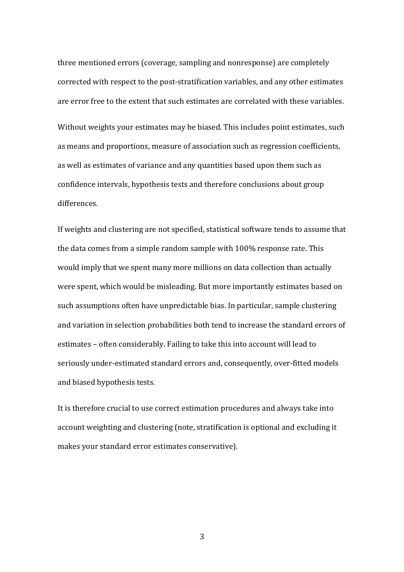three mentioned errors (coverage, sampling and nonresponse) are completely corrected with respect to the post-stratification variables, and any other estimates are error free to the extent that such estimates are correlated with these variables.

Without weights your estimates may be biased. This includes point estimates, such as means and proportions, measure of association such as regression coefficients, as well as estimates of variance and any quantities based upon them such as confidence intervals, hypothesis tests and therefore conclusions about group differences.

If weights and clustering are not specified, statistical software tends to assume that the data comes from a simple random sample with 100% response rate. This would imply that we spent many more millions on data collection than actually were spent, which would be misleading. But more importantly estimates based on such assumptions often have unpredictable bias. In particular, sample clustering and variation in selection probabilities both tend to increase the standard errors of estimates – often considerably. Failing to take this into account will lead to seriously under-estimated standard errors and, consequently, over-fitted models and biased hypothesis tests.

It is therefore crucial to use correct estimation procedures and always take into account weighting and clustering (note, stratification is optional and excluding it makes your standard error estimates conservative).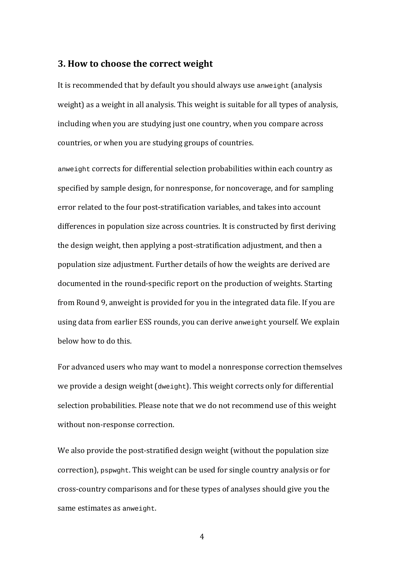### **3. How to choose the correct weight**

It is recommended that by default you should always use anweight (analysis weight) as a weight in all analysis. This weight is suitable for all types of analysis, including when you are studying just one country, when you compare across countries, or when you are studying groups of countries.

anweight corrects for differential selection probabilities within each country as specified by sample design, for nonresponse, for noncoverage, and for sampling error related to the four post-stratification variables, and takes into account differences in population size across countries. It is constructed by first deriving the design weight, then applying a post-stratification adjustment, and then a population size adjustment. Further details of how the weights are derived are documented in the round-specific report on the production of weights. Starting from Round 9, anweight is provided for you in the integrated data file. If you are using data from earlier ESS rounds, you can derive anweight yourself. We explain below how to do this.

For advanced users who may want to model a nonresponse correction themselves we provide a design weight (dweight). This weight corrects only for differential selection probabilities. Please note that we do not recommend use of this weight without non-response correction.

We also provide the post-stratified design weight (without the population size correction), pspwght. This weight can be used for single country analysis or for cross-country comparisons and for these types of analyses should give you the same estimates as anweight.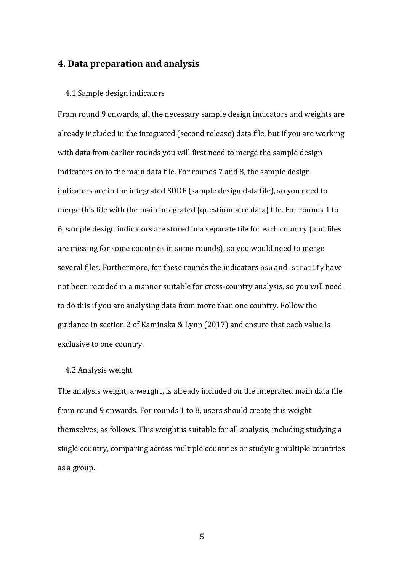## **4. Data preparation and analysis**

### 4.1 Sample design indicators

From round 9 onwards, all the necessary sample design indicators and weights are already included in the integrated (second release) data file, but if you are working with data from earlier rounds you will first need to merge the sample design indicators on to the main data file. For rounds 7 and 8, the sample design indicators are in the integrated SDDF (sample design data file), so you need to merge this file with the main integrated (questionnaire data) file. For rounds 1 to 6, sample design indicators are stored in a separate file for each country (and files are missing for some countries in some rounds), so you would need to merge several files. Furthermore, for these rounds the indicators psu and stratify have not been recoded in a manner suitable for cross-country analysis, so you will need to do this if you are analysing data from more than one country. Follow the guidance in section 2 of Kaminska & Lynn (2017) and ensure that each value is exclusive to one country.

### 4.2 Analysis weight

The analysis weight, anweight, is already included on the integrated main data file from round 9 onwards. For rounds 1 to 8, users should create this weight themselves, as follows. This weight is suitable for all analysis, including studying a single country, comparing across multiple countries or studying multiple countries as a group.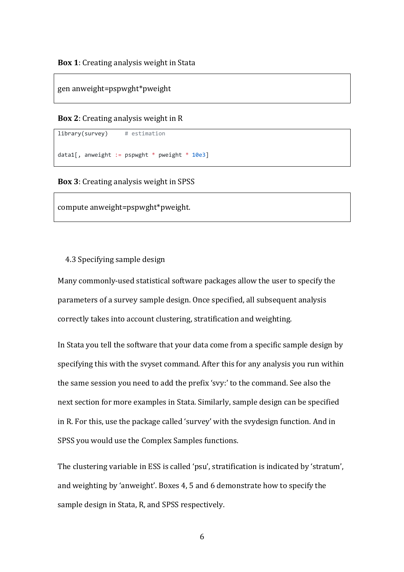#### gen anweight=pspwght\*pweight

#### **Box 2**: Creating analysis weight in R

library(survey) # estimation

```
data1[, anweight := pspwght * pweight * 10e3]
```
#### **Box 3**: Creating analysis weight in SPSS

compute anweight=pspwght\*pweight.

#### 4.3 Specifying sample design

Many commonly-used statistical software packages allow the user to specify the parameters of a survey sample design. Once specified, all subsequent analysis correctly takes into account clustering, stratification and weighting.

In Stata you tell the software that your data come from a specific sample design by specifying this with the svyset command. After this for any analysis you run within the same session you need to add the prefix 'svy:' to the command. See also the next section for more examples in Stata. Similarly, sample design can be specified in R. For this, use the package called 'survey' with the svydesign function. And in SPSS you would use the Complex Samples functions.

The clustering variable in ESS is called 'psu', stratification is indicated by 'stratum', and weighting by 'anweight'. Boxes 4, 5 and 6 demonstrate how to specify the sample design in Stata, R, and SPSS respectively.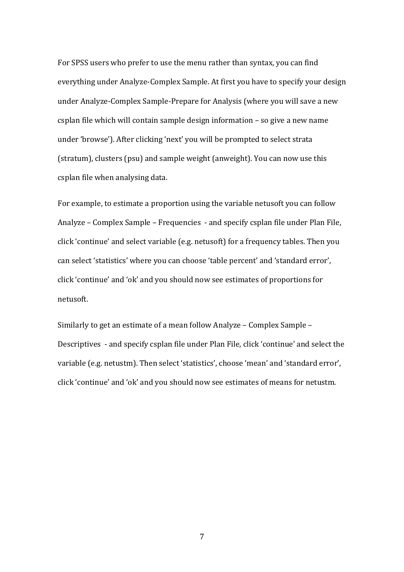For SPSS users who prefer to use the menu rather than syntax, you can find everything under Analyze-Complex Sample. At first you have to specify your design under Analyze-Complex Sample-Prepare for Analysis (where you will save a new csplan file which will contain sample design information – so give a new name under 'browse'). After clicking 'next' you will be prompted to select strata (stratum), clusters (psu) and sample weight (anweight). You can now use this csplan file when analysing data.

For example, to estimate a proportion using the variable netusoft you can follow Analyze – Complex Sample – Frequencies - and specify csplan file under Plan File, click 'continue' and select variable (e.g. netusoft) for a frequency tables. Then you can select 'statistics' where you can choose 'table percent' and 'standard error', click 'continue' and 'ok' and you should now see estimates of proportions for netusoft.

Similarly to get an estimate of a mean follow Analyze – Complex Sample – Descriptives - and specify csplan file under Plan File, click 'continue' and select the variable (e.g. netustm). Then select 'statistics', choose 'mean' and 'standard error', click 'continue' and 'ok' and you should now see estimates of means for netustm.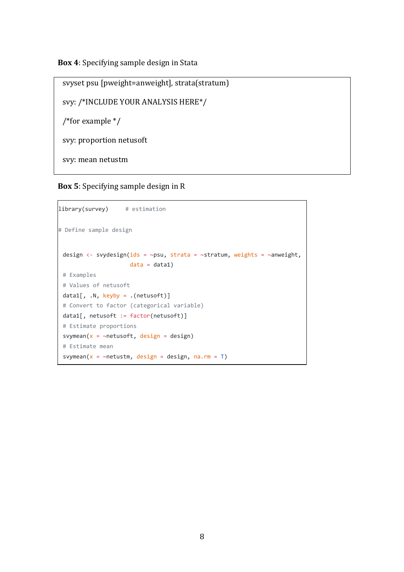**Box 4**: Specifying sample design in Stata

svyset psu [pweight=anweight], strata(stratum) svy: /\*INCLUDE YOUR ANALYSIS HERE\*/ /\*for example \*/ svy: proportion netusoft svy: mean netustm

**Box 5**: Specifying sample design in R

```
library(survey) # estimation 
# Define sample design
 design <- svydesign(ids = ~psu, strata = ~stratum, weights = ~anweight,
                     data = data1)# Examples 
 # Values of netusoft
 data1[, \ldots], keyby = \ldots (netusoft)]
 # Convert to factor (categorical variable)
 data1[, netusoft := factor(netusoft)] 
 # Estimate proportions
 svymean(x = \simnetusoft, design = design)
 # Estimate mean
 svymean(x = \simnetustm, design = design, na.rm = T)
```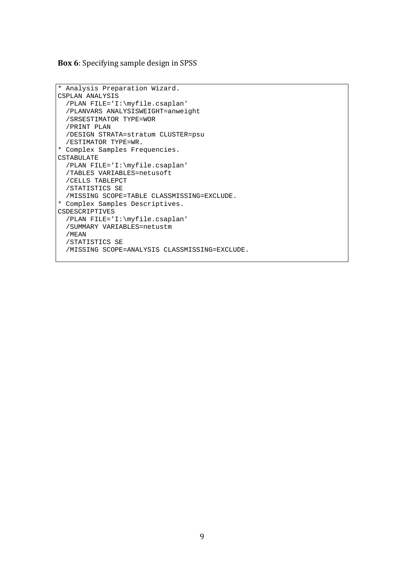#### **Box 6**: Specifying sample design in SPSS

```
* Analysis Preparation Wizard. 
CSPLAN ANALYSIS 
   /PLAN FILE='I:\myfile.csaplan' 
   /PLANVARS ANALYSISWEIGHT=anweight 
   /SRSESTIMATOR TYPE=WOR 
   /PRINT PLAN 
   /DESIGN STRATA=stratum CLUSTER=psu 
   /ESTIMATOR TYPE=WR. 
* Complex Samples Frequencies. 
CSTABULATE 
   /PLAN FILE='I:\myfile.csaplan' 
   /TABLES VARIABLES=netusoft 
   /CELLS TABLEPCT 
   /STATISTICS SE 
  /MISSING SCOPE=TABLE CLASSMISSING=EXCLUDE.
* Complex Samples Descriptives. 
CSDESCRIPTIVES 
   /PLAN FILE='I:\myfile.csaplan' 
   /SUMMARY VARIABLES=netustm 
   /MEAN 
   /STATISTICS SE 
   /MISSING SCOPE=ANALYSIS CLASSMISSING=EXCLUDE.
```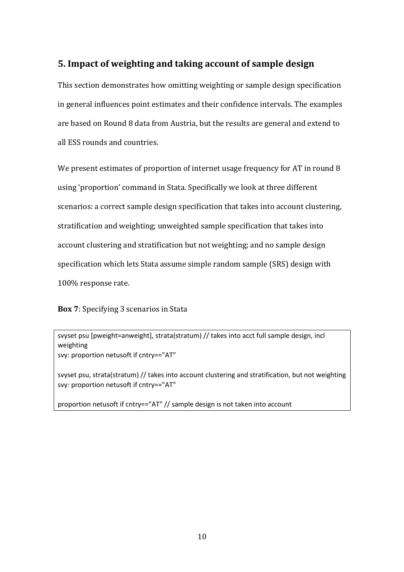# **5. Impact of weighting and taking account of sample design**

This section demonstrates how omitting weighting or sample design specification in general influences point estimates and their confidence intervals. The examples are based on Round 8 data from Austria, but the results are general and extend to all ESS rounds and countries.

We present estimates of proportion of internet usage frequency for AT in round 8 using 'proportion' command in Stata. Specifically we look at three different scenarios: a correct sample design specification that takes into account clustering, stratification and weighting; unweighted sample specification that takes into account clustering and stratification but not weighting; and no sample design specification which lets Stata assume simple random sample (SRS) design with 100% response rate.

**Box 7**: Specifying 3 scenarios in Stata

svyset psu [pweight=anweight], strata(stratum) // takes into acct full sample design, incl weighting svy: proportion netusoft if cntry=="AT"

svyset psu, strata(stratum) // takes into account clustering and stratification, but not weighting svy: proportion netusoft if cntry=="AT"

proportion netusoft if cntry=="AT" // sample design is not taken into account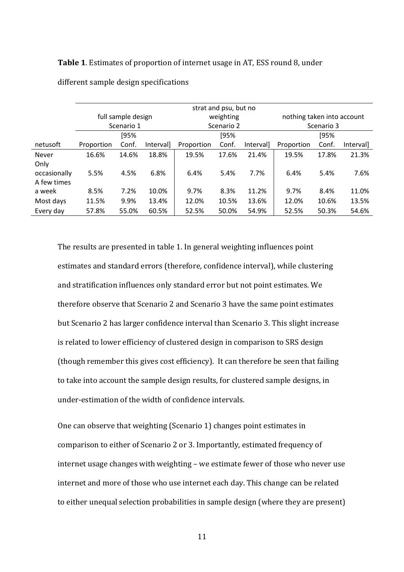### **Table 1**. Estimates of proportion of internet usage in AT, ESS round 8, under

|              | strat and psu, but no |       |           |            |       |           |                            |       |           |  |
|--------------|-----------------------|-------|-----------|------------|-------|-----------|----------------------------|-------|-----------|--|
|              | full sample design    |       |           | weighting  |       |           | nothing taken into account |       |           |  |
|              | Scenario 1            |       |           | Scenario 2 |       |           | Scenario 3                 |       |           |  |
|              | [95%                  |       |           | [95%       |       |           | [95%                       |       |           |  |
| netusoft     | Proportion            | Conf. | Intervall | Proportion | Conf. | Intervall | Proportion                 | Conf. | Interval] |  |
| <b>Never</b> | 16.6%                 | 14.6% | 18.8%     | 19.5%      | 17.6% | 21.4%     | 19.5%                      | 17.8% | 21.3%     |  |
| Only         |                       |       |           |            |       |           |                            |       |           |  |
| occasionally | 5.5%                  | 4.5%  | 6.8%      | 6.4%       | 5.4%  | 7.7%      | 6.4%                       | 5.4%  | 7.6%      |  |
| A few times  |                       |       |           |            |       |           |                            |       |           |  |
| a week       | 8.5%                  | 7.2%  | 10.0%     | 9.7%       | 8.3%  | 11.2%     | 9.7%                       | 8.4%  | 11.0%     |  |
| Most days    | 11.5%                 | 9.9%  | 13.4%     | 12.0%      | 10.5% | 13.6%     | 12.0%                      | 10.6% | 13.5%     |  |
| Every day    | 57.8%                 | 55.0% | 60.5%     | 52.5%      | 50.0% | 54.9%     | 52.5%                      | 50.3% | 54.6%     |  |

different sample design specifications

The results are presented in table 1. In general weighting influences point estimates and standard errors (therefore, confidence interval), while clustering and stratification influences only standard error but not point estimates. We therefore observe that Scenario 2 and Scenario 3 have the same point estimates but Scenario 2 has larger confidence interval than Scenario 3. This slight increase is related to lower efficiency of clustered design in comparison to SRS design (though remember this gives cost efficiency). It can therefore be seen that failing to take into account the sample design results, for clustered sample designs, in under-estimation of the width of confidence intervals.

One can observe that weighting (Scenario 1) changes point estimates in comparison to either of Scenario 2 or 3. Importantly, estimated frequency of internet usage changes with weighting – we estimate fewer of those who never use internet and more of those who use internet each day. This change can be related to either unequal selection probabilities in sample design (where they are present)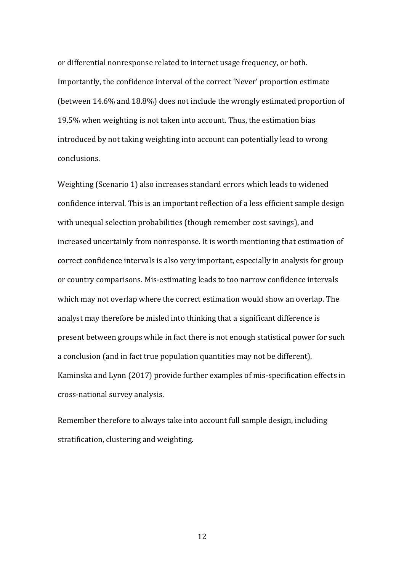or differential nonresponse related to internet usage frequency, or both. Importantly, the confidence interval of the correct 'Never' proportion estimate (between 14.6% and 18.8%) does not include the wrongly estimated proportion of 19.5% when weighting is not taken into account. Thus, the estimation bias introduced by not taking weighting into account can potentially lead to wrong conclusions.

Weighting (Scenario 1) also increases standard errors which leads to widened confidence interval. This is an important reflection of a less efficient sample design with unequal selection probabilities (though remember cost savings), and increased uncertainly from nonresponse. It is worth mentioning that estimation of correct confidence intervals is also very important, especially in analysis for group or country comparisons. Mis-estimating leads to too narrow confidence intervals which may not overlap where the correct estimation would show an overlap. The analyst may therefore be misled into thinking that a significant difference is present between groups while in fact there is not enough statistical power for such a conclusion (and in fact true population quantities may not be different). Kaminska and Lynn (2017) provide further examples of mis-specification effects in cross-national survey analysis.

Remember therefore to always take into account full sample design, including stratification, clustering and weighting.